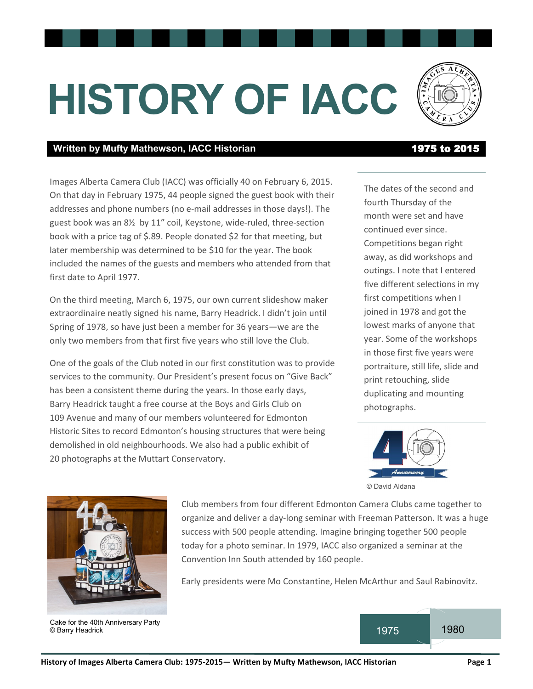# **HISTORY OF IACC**

#### Written by Mufty Mathewson, IACC Historian **1975 to 2015**

Images Alberta Camera Club (IACC) was officially 40 on February 6, 2015. On that day in February 1975, 44 people signed the guest book with their addresses and phone numbers (no e-mail addresses in those days!). The guest book was an 8½ by 11" coil, Keystone, wide-ruled, three-section book with a price tag of \$.89. People donated \$2 for that meeting, but later membership was determined to be \$10 for the year. The book included the names of the guests and members who attended from that first date to April 1977.

On the third meeting, March 6, 1975, our own current slideshow maker extraordinaire neatly signed his name, Barry Headrick. I didn't join until Spring of 1978, so have just been a member for 36 years—we are the only two members from that first five years who still love the Club.

One of the goals of the Club noted in our first constitution was to provide services to the community. Our President's present focus on "Give Back" has been a consistent theme during the years. In those early days, Barry Headrick taught a free course at the Boys and Girls Club on 109 Avenue and many of our members volunteered for Edmonton Historic Sites to record Edmonton's housing structures that were being demolished in old neighbourhoods. We also had a public exhibit of 20 photographs at the Muttart Conservatory.

The dates of the second and fourth Thursday of the month were set and have continued ever since. Competitions began right away, as did workshops and outings. I note that I entered five different selections in my first competitions when I joined in 1978 and got the lowest marks of anyone that year. Some of the workshops in those first five years were portraiture, still life, slide and print retouching, slide duplicating and mounting photographs.





Cake for the 40th Anniversary Party © Barry Headrick

Club members from four different Edmonton Camera Clubs came together to organize and deliver a day-long seminar with Freeman Patterson. It was a huge success with 500 people attending. Imagine bringing together 500 people today for a photo seminar. In 1979, IACC also organized a seminar at the Convention Inn South attended by 160 people.

Early presidents were Mo Constantine, Helen McArthur and Saul Rabinovitz.

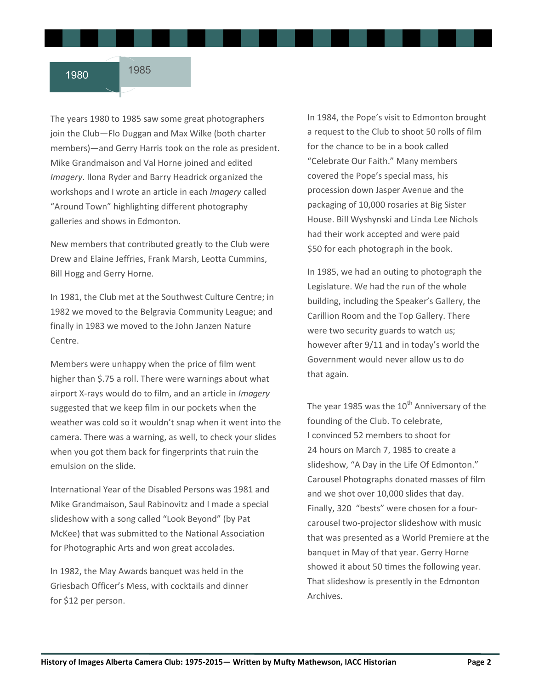The years 1980 to 1985 saw some great photographers join the Club—Flo Duggan and Max Wilke (both charter members)—and Gerry Harris took on the role as president. Mike Grandmaison and Val Horne joined and edited *Imagery*. Ilona Ryder and Barry Headrick organized the workshops and I wrote an article in each *Imagery* called "Around Town" highlighting different photography galleries and shows in Edmonton.

New members that contributed greatly to the Club were Drew and Elaine Jeffries, Frank Marsh, Leotta Cummins, Bill Hogg and Gerry Horne.

In 1981, the Club met at the Southwest Culture Centre; in 1982 we moved to the Belgravia Community League; and finally in 1983 we moved to the John Janzen Nature Centre.

Members were unhappy when the price of film went higher than \$.75 a roll. There were warnings about what airport X-rays would do to film, and an article in *Imagery*  suggested that we keep film in our pockets when the weather was cold so it wouldn't snap when it went into the camera. There was a warning, as well, to check your slides when you got them back for fingerprints that ruin the emulsion on the slide.

International Year of the Disabled Persons was 1981 and Mike Grandmaison, Saul Rabinovitz and I made a special slideshow with a song called "Look Beyond" (by Pat McKee) that was submitted to the National Association for Photographic Arts and won great accolades.

In 1982, the May Awards banquet was held in the Griesbach Officer's Mess, with cocktails and dinner for \$12 per person.

In 1984, the Pope's visit to Edmonton brought a request to the Club to shoot 50 rolls of film for the chance to be in a book called "Celebrate Our Faith." Many members covered the Pope's special mass, his procession down Jasper Avenue and the packaging of 10,000 rosaries at Big Sister House. Bill Wyshynski and Linda Lee Nichols had their work accepted and were paid \$50 for each photograph in the book.

In 1985, we had an outing to photograph the Legislature. We had the run of the whole building, including the Speaker's Gallery, the Carillion Room and the Top Gallery. There were two security guards to watch us; however after 9/11 and in today's world the Government would never allow us to do that again.

The year 1985 was the  $10^{th}$  Anniversary of the founding of the Club. To celebrate, I convinced 52 members to shoot for 24 hours on March 7, 1985 to create a slideshow, "A Day in the Life Of Edmonton." Carousel Photographs donated masses of film and we shot over 10,000 slides that day. Finally, 320 "bests" were chosen for a fourcarousel two-projector slideshow with music that was presented as a World Premiere at the banquet in May of that year. Gerry Horne showed it about 50 times the following year. That slideshow is presently in the Edmonton Archives.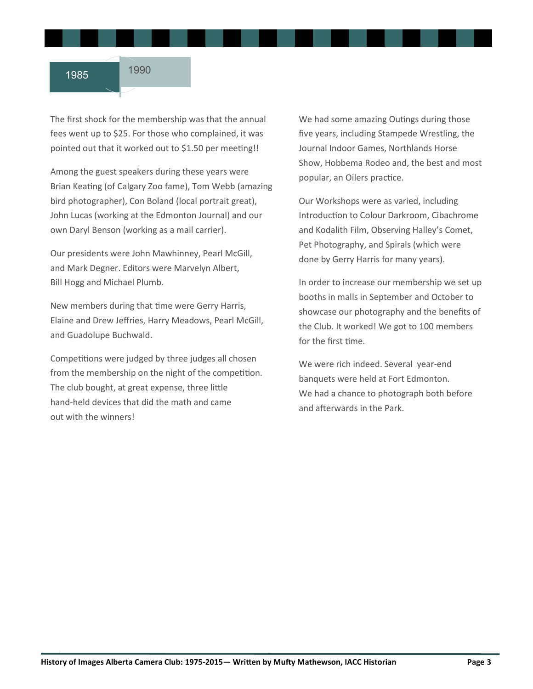The first shock for the membership was that the annual fees went up to \$25. For those who complained, it was pointed out that it worked out to \$1.50 per meeting!!

Among the guest speakers during these years were Brian Keating (of Calgary Zoo fame), Tom Webb (amazing bird photographer), Con Boland (local portrait great), John Lucas (working at the Edmonton Journal) and our own Daryl Benson (working as a mail carrier).

Our presidents were John Mawhinney, Pearl McGill, and Mark Degner. Editors were Marvelyn Albert, Bill Hogg and Michael Plumb.

New members during that time were Gerry Harris, Elaine and Drew Jeffries, Harry Meadows, Pearl McGill, and Guadolupe Buchwald.

Competitions were judged by three judges all chosen from the membership on the night of the competition. The club bought, at great expense, three little hand-held devices that did the math and came out with the winners!

We had some amazing Outings during those five years, including Stampede Wrestling, the Journal Indoor Games, Northlands Horse Show, Hobbema Rodeo and, the best and most popular, an Oilers practice.

Our Workshops were as varied, including Introduction to Colour Darkroom, Cibachrome and Kodalith Film, Observing Halley's Comet, Pet Photography, and Spirals (which were done by Gerry Harris for many years).

In order to increase our membership we set up booths in malls in September and October to showcase our photography and the benefits of the Club. It worked! We got to 100 members for the first time.

We were rich indeed. Several year-end banquets were held at Fort Edmonton. We had a chance to photograph both before and afterwards in the Park.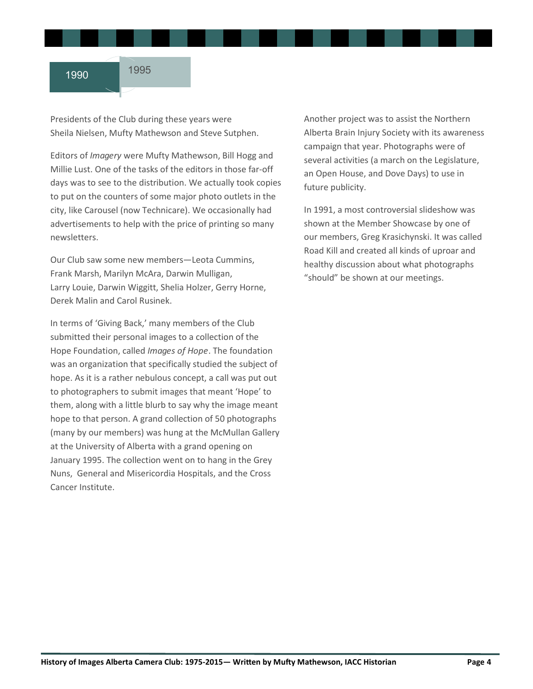Presidents of the Club during these years were Sheila Nielsen, Mufty Mathewson and Steve Sutphen.

Editors of *Imagery* were Mufty Mathewson, Bill Hogg and Millie Lust. One of the tasks of the editors in those far-off days was to see to the distribution. We actually took copies to put on the counters of some major photo outlets in the city, like Carousel (now Technicare). We occasionally had advertisements to help with the price of printing so many newsletters.

Our Club saw some new members—Leota Cummins, Frank Marsh, Marilyn McAra, Darwin Mulligan, Larry Louie, Darwin Wiggitt, Shelia Holzer, Gerry Horne, Derek Malin and Carol Rusinek.

In terms of 'Giving Back,' many members of the Club submitted their personal images to a collection of the Hope Foundation, called *Images of Hope*. The foundation was an organization that specifically studied the subject of hope. As it is a rather nebulous concept, a call was put out to photographers to submit images that meant 'Hope' to them, along with a little blurb to say why the image meant hope to that person. A grand collection of 50 photographs (many by our members) was hung at the McMullan Gallery at the University of Alberta with a grand opening on January 1995. The collection went on to hang in the Grey Nuns, General and Misericordia Hospitals, and the Cross Cancer Institute.

Another project was to assist the Northern Alberta Brain Injury Society with its awareness campaign that year. Photographs were of several activities (a march on the Legislature, an Open House, and Dove Days) to use in future publicity.

In 1991, a most controversial slideshow was shown at the Member Showcase by one of our members, Greg Krasichynski. It was called Road Kill and created all kinds of uproar and healthy discussion about what photographs "should" be shown at our meetings.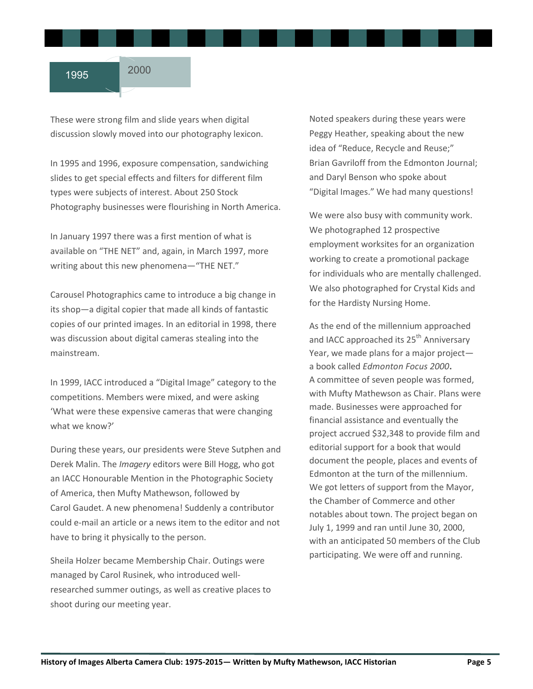These were strong film and slide years when digital discussion slowly moved into our photography lexicon.

In 1995 and 1996, exposure compensation, sandwiching slides to get special effects and filters for different film types were subjects of interest. About 250 Stock Photography businesses were flourishing in North America.

In January 1997 there was a first mention of what is available on "THE NET" and, again, in March 1997, more writing about this new phenomena—"THE NET."

Carousel Photographics came to introduce a big change in its shop—a digital copier that made all kinds of fantastic copies of our printed images. In an editorial in 1998, there was discussion about digital cameras stealing into the mainstream.

In 1999, IACC introduced a "Digital Image" category to the competitions. Members were mixed, and were asking 'What were these expensive cameras that were changing what we know?'

During these years, our presidents were Steve Sutphen and Derek Malin. The *Imagery* editors were Bill Hogg, who got an IACC Honourable Mention in the Photographic Society of America, then Mufty Mathewson, followed by Carol Gaudet. A new phenomena! Suddenly a contributor could e-mail an article or a news item to the editor and not have to bring it physically to the person.

Sheila Holzer became Membership Chair. Outings were managed by Carol Rusinek, who introduced wellresearched summer outings, as well as creative places to shoot during our meeting year.

Noted speakers during these years were Peggy Heather, speaking about the new idea of "Reduce, Recycle and Reuse;" Brian Gavriloff from the Edmonton Journal; and Daryl Benson who spoke about "Digital Images." We had many questions!

We were also busy with community work. We photographed 12 prospective employment worksites for an organization working to create a promotional package for individuals who are mentally challenged. We also photographed for Crystal Kids and for the Hardisty Nursing Home.

As the end of the millennium approached and IACC approached its 25<sup>th</sup> Anniversary Year, we made plans for a major project a book called *Edmonton Focus 2000***.** A committee of seven people was formed, with Mufty Mathewson as Chair. Plans were made. Businesses were approached for financial assistance and eventually the project accrued \$32,348 to provide film and editorial support for a book that would document the people, places and events of Edmonton at the turn of the millennium. We got letters of support from the Mayor, the Chamber of Commerce and other notables about town. The project began on July 1, 1999 and ran until June 30, 2000, with an anticipated 50 members of the Club participating. We were off and running.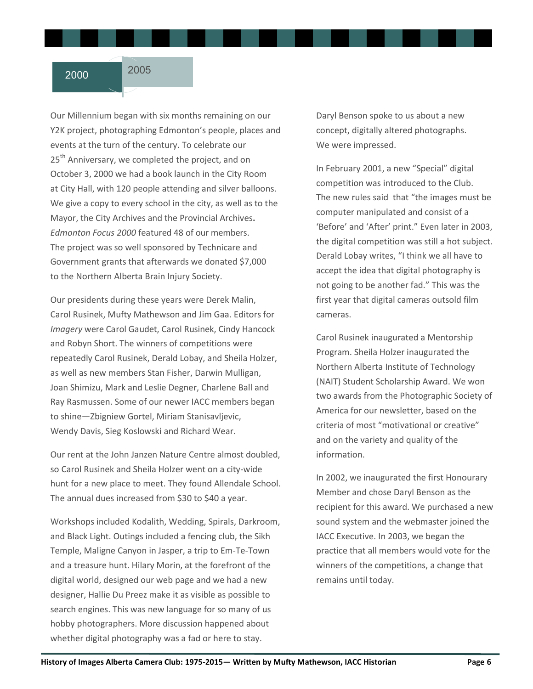Our Millennium began with six months remaining on our Y2K project, photographing Edmonton's people, places and events at the turn of the century. To celebrate our 25<sup>th</sup> Anniversary, we completed the project, and on October 3, 2000 we had a book launch in the City Room at City Hall, with 120 people attending and silver balloons. We give a copy to every school in the city, as well as to the Mayor, the City Archives and the Provincial Archives**.**  *Edmonton Focus 2000* featured 48 of our members. The project was so well sponsored by Technicare and Government grants that afterwards we donated \$7,000 to the Northern Alberta Brain Injury Society.

Our presidents during these years were Derek Malin, Carol Rusinek, Mufty Mathewson and Jim Gaa. Editors for *Imagery* were Carol Gaudet, Carol Rusinek, Cindy Hancock and Robyn Short. The winners of competitions were repeatedly Carol Rusinek, Derald Lobay, and Sheila Holzer, as well as new members Stan Fisher, Darwin Mulligan, Joan Shimizu, Mark and Leslie Degner, Charlene Ball and Ray Rasmussen. Some of our newer IACC members began to shine—Zbigniew Gortel, Miriam Stanisavljevic, Wendy Davis, Sieg Koslowski and Richard Wear.

Our rent at the John Janzen Nature Centre almost doubled, so Carol Rusinek and Sheila Holzer went on a city-wide hunt for a new place to meet. They found Allendale School. The annual dues increased from \$30 to \$40 a year.

Workshops included Kodalith, Wedding, Spirals, Darkroom, and Black Light. Outings included a fencing club, the Sikh Temple, Maligne Canyon in Jasper, a trip to Em-Te-Town and a treasure hunt. Hilary Morin, at the forefront of the digital world, designed our web page and we had a new designer, Hallie Du Preez make it as visible as possible to search engines. This was new language for so many of us hobby photographers. More discussion happened about whether digital photography was a fad or here to stay.

Daryl Benson spoke to us about a new concept, digitally altered photographs. We were impressed.

In February 2001, a new "Special" digital competition was introduced to the Club. The new rules said that "the images must be computer manipulated and consist of a 'Before' and 'After' print." Even later in 2003, the digital competition was still a hot subject. Derald Lobay writes, "I think we all have to accept the idea that digital photography is not going to be another fad." This was the first year that digital cameras outsold film cameras.

Carol Rusinek inaugurated a Mentorship Program. Sheila Holzer inaugurated the Northern Alberta Institute of Technology (NAIT) Student Scholarship Award. We won two awards from the Photographic Society of America for our newsletter, based on the criteria of most "motivational or creative" and on the variety and quality of the information.

In 2002, we inaugurated the first Honourary Member and chose Daryl Benson as the recipient for this award. We purchased a new sound system and the webmaster joined the IACC Executive. In 2003, we began the practice that all members would vote for the winners of the competitions, a change that remains until today.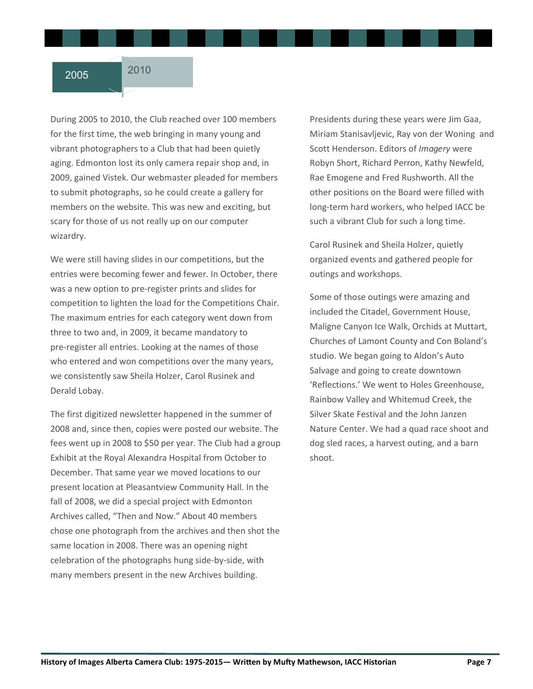During 2005 to 2010, the Club reached over 100 members for the first time, the web bringing in many young and vibrant photographers to a Club that had been quietly aging. Edmonton lost its only camera repair shop and, in 2009, gained Vistek. Our webmaster pleaded for members to submit photographs, so he could create a gallery for members on the website. This was new and exciting, but scary for those of us not really up on our computer wizardry.

We were still having slides in our competitions, but the entries were becoming fewer and fewer. In October, there was a new option to pre-register prints and slides for competition to lighten the load for the Competitions Chair. The maximum entries for each category went down from three to two and, in 2009, it became mandatory to pre-register all entries. Looking at the names of those who entered and won competitions over the many years, we consistently saw Sheila Holzer, Carol Rusinek and Derald Lobay.

The first digitized newsletter happened in the summer of 2008 and, since then, copies were posted our website. The fees went up in 2008 to \$50 per year. The Club had a group Exhibit at the Royal Alexandra Hospital from October to December. That same year we moved locations to our present location at Pleasantview Community Hall. In the fall of 2008, we did a special project with Edmonton Archives called, "Then and Now." About 40 members chose one photograph from the archives and then shot the same location in 2008. There was an opening night celebration of the photographs hung side-by-side, with many members present in the new Archives building.

Presidents during these years were Jim Gaa, Miriam Stanisavljevic, Ray von der Woning and Scott Henderson. Editors of *Imagery* were Robyn Short, Richard Perron, Kathy Newfeld, Rae Emogene and Fred Rushworth. All the other positions on the Board were filled with long-term hard workers, who helped IACC be such a vibrant Club for such a long time.

Carol Rusinek and Sheila Holzer, quietly organized events and gathered people for outings and workshops.

Some of those outings were amazing and included the Citadel, Government House, Maligne Canyon Ice Walk, Orchids at Muttart, Churches of Lamont County and Con Boland's studio. We began going to Aldon's Auto Salvage and going to create downtown 'Reflections.' We went to Holes Greenhouse, Rainbow Valley and Whitemud Creek, the Silver Skate Festival and the John Janzen Nature Center. We had a quad race shoot and dog sled races, a harvest outing, and a barn shoot.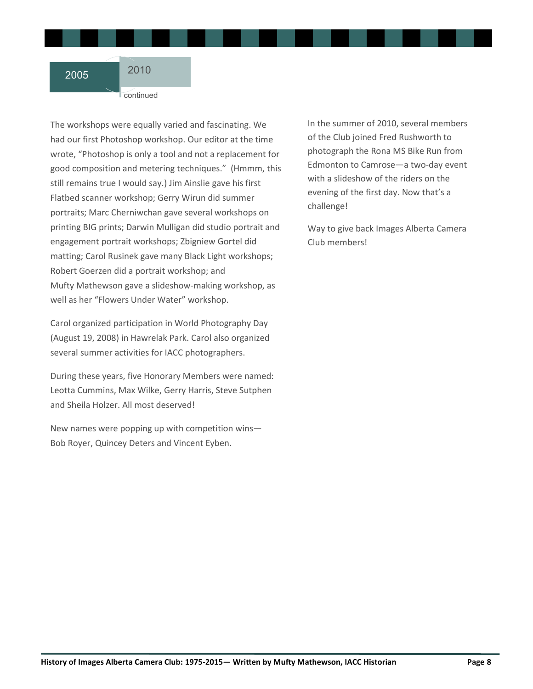continued

The workshops were equally varied and fascinating. We had our first Photoshop workshop. Our editor at the time wrote, "Photoshop is only a tool and not a replacement for good composition and metering techniques." (Hmmm, this still remains true I would say.) Jim Ainslie gave his first Flatbed scanner workshop; Gerry Wirun did summer portraits; Marc Cherniwchan gave several workshops on printing BIG prints; Darwin Mulligan did studio portrait and engagement portrait workshops; Zbigniew Gortel did matting; Carol Rusinek gave many Black Light workshops; Robert Goerzen did a portrait workshop; and Mufty Mathewson gave a slideshow-making workshop, as well as her "Flowers Under Water" workshop.

Carol organized participation in World Photography Day (August 19, 2008) in Hawrelak Park. Carol also organized several summer activities for IACC photographers.

During these years, five Honorary Members were named: Leotta Cummins, Max Wilke, Gerry Harris, Steve Sutphen and Sheila Holzer. All most deserved!

New names were popping up with competition wins— Bob Royer, Quincey Deters and Vincent Eyben.

In the summer of 2010, several members of the Club joined Fred Rushworth to photograph the Rona MS Bike Run from Edmonton to Camrose—a two-day event with a slideshow of the riders on the evening of the first day. Now that's a challenge!

Way to give back Images Alberta Camera Club members!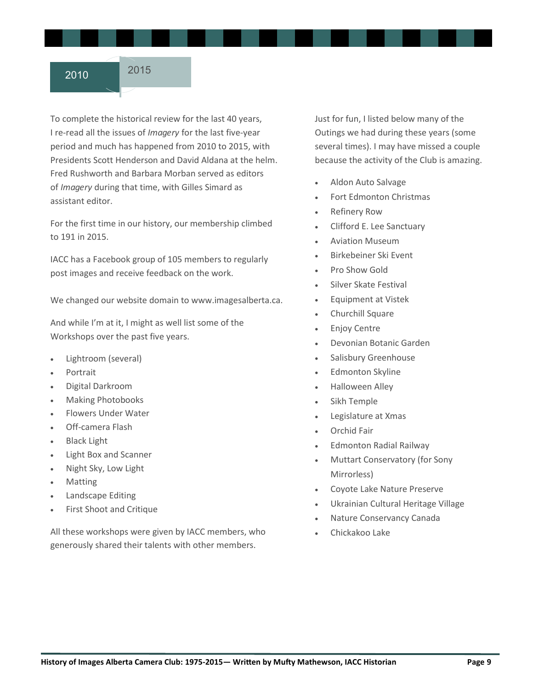To complete the historical review for the last 40 years, I re-read all the issues of *Imagery* for the last five-year period and much has happened from 2010 to 2015, with Presidents Scott Henderson and David Aldana at the helm. Fred Rushworth and Barbara Morban served as editors of *Imagery* during that time, with Gilles Simard as assistant editor.

For the first time in our history, our membership climbed to 191 in 2015.

IACC has a Facebook group of 105 members to regularly post images and receive feedback on the work.

We changed our website domain to www.imagesalberta.ca.

And while I'm at it, I might as well list some of the Workshops over the past five years.

- Lightroom (several)
- Portrait
- Digital Darkroom
- Making Photobooks
- Flowers Under Water
- Off-camera Flash
- Black Light
- Light Box and Scanner
- Night Sky, Low Light
- Matting
- Landscape Editing
- First Shoot and Critique

All these workshops were given by IACC members, who generously shared their talents with other members.

Just for fun, I listed below many of the Outings we had during these years (some several times). I may have missed a couple because the activity of the Club is amazing.

- Aldon Auto Salvage
- Fort Edmonton Christmas
- Refinery Row
- Clifford E. Lee Sanctuary
- Aviation Museum
- Birkebeiner Ski Event
- Pro Show Gold
- Silver Skate Festival
- Equipment at Vistek
- Churchill Square
- Enjoy Centre
- Devonian Botanic Garden
- Salisbury Greenhouse
- Edmonton Skyline
- Halloween Alley
- Sikh Temple
- Legislature at Xmas
- Orchid Fair
- Edmonton Radial Railway
- Muttart Conservatory (for Sony Mirrorless)
- Coyote Lake Nature Preserve
- Ukrainian Cultural Heritage Village
- Nature Conservancy Canada
- Chickakoo Lake